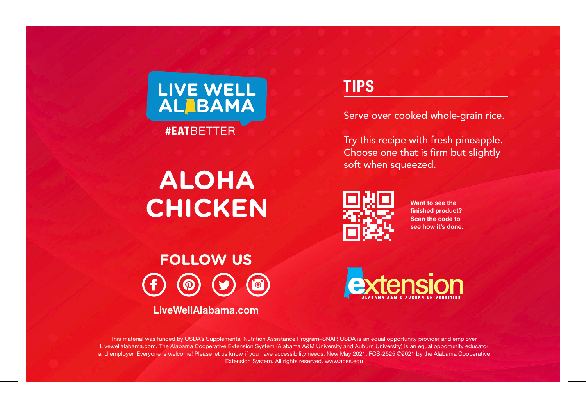

#### **TIPS**

Serve over cooked whole-grain rice.

Want to see the see

**TIPS:** soft when squeezed. Try this recipe with fresh pineapple. Choose one that is firm but slightly

# **RALOHA** and **SWEETS CHICKEN**



**Following Want to see the finished product? Scan the code to see how it's done.**

**FOLLOW US FOLLOW US**  $\circ$ 

**LiveWellAlabama.com LiveWellAlabama.com**



This material was funded by USDA's Supplemental Nutrition Assistance Program-SNAP. USDA is an equal opportunity provider and employer. Livewellalabama.com. The Alabama Cooperative Extension System (Alabama A&M University and Auburn University) is an equal opportunity educator and employer. Everyone is welcome! Please let us know if you have accessibility needs. New May 2021, FCS-2525 ©2021 by the Alabama Cooperative Extension System. All rights reserved. www.aces.edu